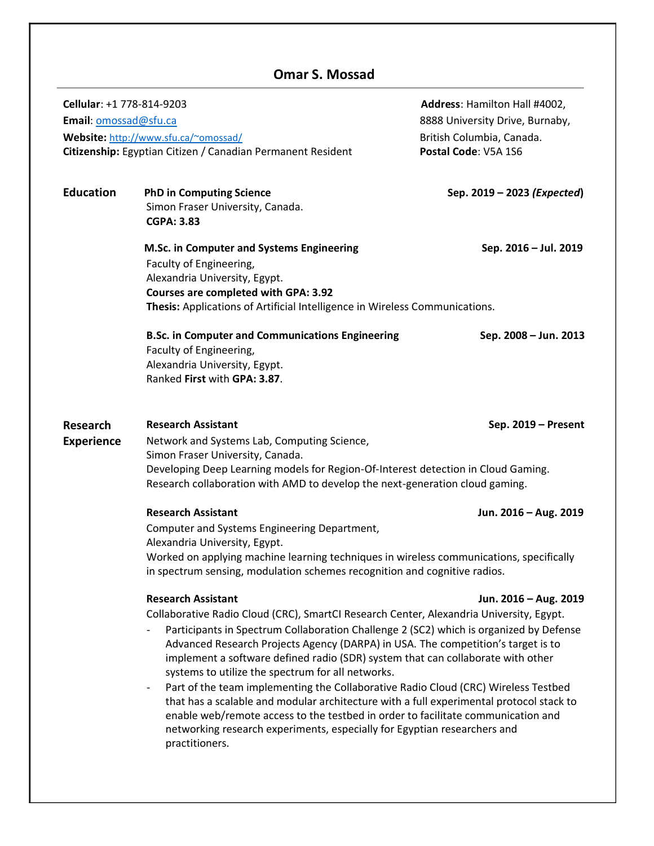# **Omar S. Mossad**

| Cellular: +1 778-814-9203<br>Email: omossad@sfu.ca | Website: http://www.sfu.ca/~omossad/<br>Citizenship: Egyptian Citizen / Canadian Permanent Resident                                                                                                                                                                                                                                                                                                                                                                                                                                                                                                                                                                                                                                                                                                                                       | Address: Hamilton Hall #4002,<br>8888 University Drive, Burnaby,<br>British Columbia, Canada.<br>Postal Code: V5A 1S6 |
|----------------------------------------------------|-------------------------------------------------------------------------------------------------------------------------------------------------------------------------------------------------------------------------------------------------------------------------------------------------------------------------------------------------------------------------------------------------------------------------------------------------------------------------------------------------------------------------------------------------------------------------------------------------------------------------------------------------------------------------------------------------------------------------------------------------------------------------------------------------------------------------------------------|-----------------------------------------------------------------------------------------------------------------------|
| <b>Education</b>                                   | <b>PhD in Computing Science</b><br>Simon Fraser University, Canada.<br><b>CGPA: 3.83</b>                                                                                                                                                                                                                                                                                                                                                                                                                                                                                                                                                                                                                                                                                                                                                  | Sep. 2019 - 2023 (Expected)                                                                                           |
|                                                    | M.Sc. in Computer and Systems Engineering<br>Faculty of Engineering,<br>Alexandria University, Egypt.<br>Courses are completed with GPA: 3.92<br>Thesis: Applications of Artificial Intelligence in Wireless Communications.                                                                                                                                                                                                                                                                                                                                                                                                                                                                                                                                                                                                              | Sep. 2016 - Jul. 2019                                                                                                 |
|                                                    | <b>B.Sc. in Computer and Communications Engineering</b><br>Faculty of Engineering,<br>Alexandria University, Egypt.<br>Ranked First with GPA: 3.87.                                                                                                                                                                                                                                                                                                                                                                                                                                                                                                                                                                                                                                                                                       | Sep. 2008 - Jun. 2013                                                                                                 |
| <b>Research</b><br><b>Experience</b>               | <b>Research Assistant</b><br>Sep. 2019 - Present<br>Network and Systems Lab, Computing Science,<br>Simon Fraser University, Canada.<br>Developing Deep Learning models for Region-Of-Interest detection in Cloud Gaming.<br>Research collaboration with AMD to develop the next-generation cloud gaming.                                                                                                                                                                                                                                                                                                                                                                                                                                                                                                                                  |                                                                                                                       |
|                                                    | <b>Research Assistant</b><br>Computer and Systems Engineering Department,<br>Alexandria University, Egypt.<br>Worked on applying machine learning techniques in wireless communications, specifically<br>in spectrum sensing, modulation schemes recognition and cognitive radios.                                                                                                                                                                                                                                                                                                                                                                                                                                                                                                                                                        | Jun. 2016 - Aug. 2019                                                                                                 |
|                                                    | <b>Research Assistant</b><br>Collaborative Radio Cloud (CRC), SmartCI Research Center, Alexandria University, Egypt.<br>Participants in Spectrum Collaboration Challenge 2 (SC2) which is organized by Defense<br>Advanced Research Projects Agency (DARPA) in USA. The competition's target is to<br>implement a software defined radio (SDR) system that can collaborate with other<br>systems to utilize the spectrum for all networks.<br>Part of the team implementing the Collaborative Radio Cloud (CRC) Wireless Testbed<br>$\overline{\phantom{a}}$<br>that has a scalable and modular architecture with a full experimental protocol stack to<br>enable web/remote access to the testbed in order to facilitate communication and<br>networking research experiments, especially for Egyptian researchers and<br>practitioners. | Jun. 2016 - Aug. 2019                                                                                                 |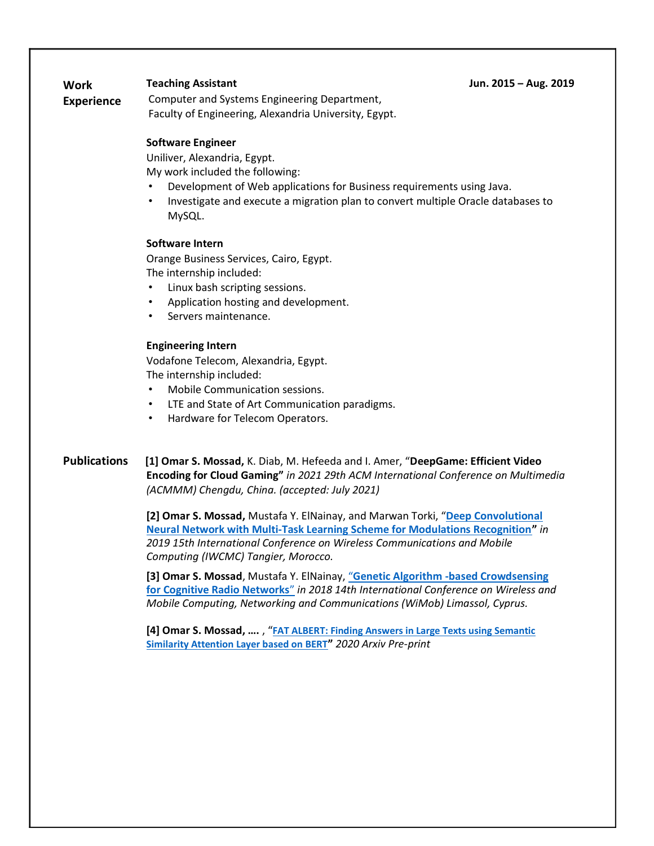**Teaching Assistant Jun. 2015 – Aug. 2019**

**Work** 

**Experience** Computer and Systems Engineering Department, Faculty of Engineering, Alexandria University, Egypt.

## **Software Engineer**

Uniliver, Alexandria, Egypt.

My work included the following:

- Development of Web applications for Business requirements using Java.
- Investigate and execute a migration plan to convert multiple Oracle databases to MySQL.

#### **Software Intern**

Orange Business Services, Cairo, Egypt. The internship included:

- Linux bash scripting sessions.
- Application hosting and development.
- Servers maintenance.

## **Engineering Intern**

Vodafone Telecom, Alexandria, Egypt. The internship included:

- Mobile Communication sessions.
- LTE and State of Art Communication paradigms.
- Hardware for Telecom Operators.

**Publications [1] Omar S. Mossad,** K. Diab, M. Hefeeda and I. Amer, "**DeepGame: Efficient Video Encoding for Cloud Gaming"** *in 2021 29th ACM International Conference on Multimedia (ACMMM) Chengdu, China. (accepted: July 2021)*

> **[2] Omar S. Mossad,** Mustafa Y. ElNainay, and Marwan Torki, "**[Deep Convolutional](https://ieeexplore.ieee.org/abstract/document/8766665)  [Neural Network with Multi-Task Learning Scheme for Modulations Recognition](https://ieeexplore.ieee.org/abstract/document/8766665)"** *in 2019 15th International Conference on Wireless Communications and Mobile Computing (IWCMC) Tangier, Morocco.*

**[3] Omar S. Mossad**, Mustafa Y. ElNainay, "**[Genetic Algorithm -based Crowdsensing](https://ieeexplore.ieee.org/document/8589174)  [for Cognitive Radio Networks](https://ieeexplore.ieee.org/document/8589174)**" *in 2018 14th International Conference on Wireless and Mobile Computing, Networking and Communications (WiMob) Limassol, Cyprus.*

**[4] Omar S. Mossad, ….** , "**[FAT ALBERT: Finding Answers in Large Texts using Semantic](https://arxiv.org/abs/2009.01004)  [Similarity Attention Layer based on BERT](https://arxiv.org/abs/2009.01004)"** *2020 Arxiv Pre-print*